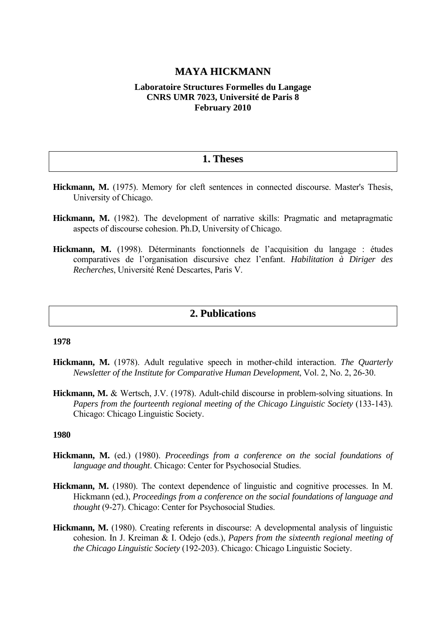# **MAYA HICKMANN**

## **Laboratoire Structures Formelles du Langage CNRS UMR 7023, Université de Paris 8 February 2010**

# **1. Theses**

- **Hickmann, M.** (1975). Memory for cleft sentences in connected discourse. Master's Thesis, University of Chicago.
- **Hickmann, M.** (1982). The development of narrative skills: Pragmatic and metapragmatic aspects of discourse cohesion. Ph.D, University of Chicago.
- **Hickmann, M.** (1998). Déterminants fonctionnels de l'acquisition du langage : études comparatives de l'organisation discursive chez l'enfant. *Habilitation à Diriger des Recherches*, Université René Descartes, Paris V.

# **2. Publications**

#### **1978**

- **Hickmann, M.** (1978). Adult regulative speech in mother-child interaction. *The Quarterly Newsletter of the Institute for Comparative Human Development*, Vol. 2, No. 2, 26-30.
- **Hickmann, M.** & Wertsch, J.V. (1978). Adult-child discourse in problem-solving situations. In *Papers from the fourteenth regional meeting of the Chicago Linguistic Society* (133-143). Chicago: Chicago Linguistic Society.

- **Hickmann, M.** (ed.) (1980). *Proceedings from a conference on the social foundations of language and thought*. Chicago: Center for Psychosocial Studies.
- **Hickmann, M.** (1980). The context dependence of linguistic and cognitive processes. In M. Hickmann (ed.), *Proceedings from a conference on the social foundations of language and thought* (9-27). Chicago: Center for Psychosocial Studies.
- **Hickmann, M.** (1980). Creating referents in discourse: A developmental analysis of linguistic cohesion. In J. Kreiman & I. Odejo (eds.), *Papers from the sixteenth regional meeting of the Chicago Linguistic Society* (192-203). Chicago: Chicago Linguistic Society.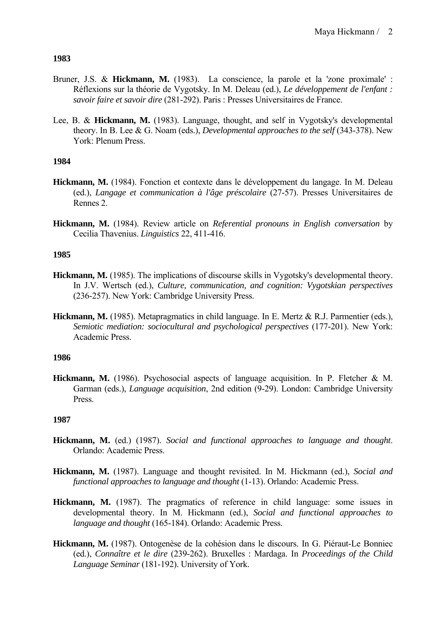- Bruner, J.S. & **Hickmann, M.** (1983). La conscience, la parole et la 'zone proximale' : Réflexions sur la théorie de Vygotsky. In M. Deleau (ed.), *Le développement de l'enfant : savoir faire et savoir dire* (281-292). Paris : Presses Universitaires de France.
- Lee, B. & **Hickmann, M.** (1983). Language, thought, and self in Vygotsky's developmental theory. In B. Lee & G. Noam (eds.), *Developmental approaches to the self* (343-378). New York: Plenum Press.

# **1984**

- **Hickmann, M.** (1984). Fonction et contexte dans le développement du langage. In M. Deleau (ed.), *Langage et communication à l'âge préscolaire* (27-57). Presses Universitaires de Rennes 2.
- **Hickmann, M.** (1984). Review article on *Referential pronouns in English conversation* by Cecilia Thavenius. *Linguistics* 22, 411-416.

# **1985**

- **Hickmann, M.** (1985). The implications of discourse skills in Vygotsky's developmental theory. In J.V. Wertsch (ed.), *Culture, communication, and cognition: Vygotskian perspectives* (236-257). New York: Cambridge University Press.
- **Hickmann, M.** (1985). Metapragmatics in child language. In E. Mertz & R.J. Parmentier (eds.), *Semiotic mediation: sociocultural and psychological perspectives* (177-201). New York: Academic Press.

## **1986**

**Hickmann, M.** (1986). Psychosocial aspects of language acquisition. In P. Fletcher & M. Garman (eds.), *Language acquisition*, 2nd edition (9-29). London: Cambridge University Press.

- **Hickmann, M.** (ed.) (1987). *Social and functional approaches to language and thought*. Orlando: Academic Press.
- **Hickmann, M.** (1987). Language and thought revisited. In M. Hickmann (ed.), *Social and functional approaches to language and thought* (1-13). Orlando: Academic Press.
- **Hickmann, M.** (1987). The pragmatics of reference in child language: some issues in developmental theory. In M. Hickmann (ed.), *Social and functional approaches to language and thought* (165-184). Orlando: Academic Press.
- **Hickmann, M.** (1987). Ontogenèse de la cohésion dans le discours. In G. Piéraut-Le Bonniec (ed.), *Connaître et le dire* (239-262). Bruxelles : Mardaga. In *Proceedings of the Child Language Seminar* (181-192). University of York.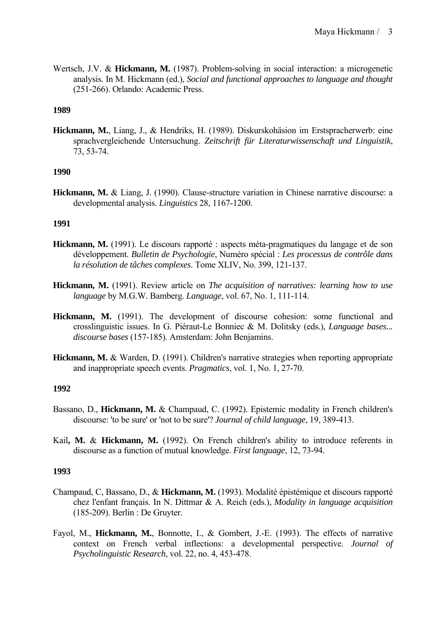Wertsch, J.V. & **Hickmann, M.** (1987). Problem-solving in social interaction: a microgenetic analysis. In M. Hickmann (ed.), *Social and functional approaches to language and thought* (251-266). Orlando: Academic Press.

## **1989**

**Hickmann, M.**, Liang, J., & Hendriks, H. (1989). Diskurskohäsion im Erstspracherwerb: eine sprachvergleichende Untersuchung. *Zeitschrift für Literaturwissenschaft und Linguistik*, 73, 53-74.

## **1990**

**Hickmann, M.** & Liang, J. (1990). Clause-structure variation in Chinese narrative discourse: a developmental analysis. *Linguistics* 28, 1167-1200.

# **1991**

- **Hickmann, M.** (1991). Le discours rapporté : aspects méta-pragmatiques du langage et de son développement. *Bulletin de Psychologie*, Numéro spécial : *Les processus de contrôle dans la résolution de tâches complexes*. Tome XLIV, No. 399, 121-137.
- **Hickmann, M.** (1991). Review article on *The acquisition of narratives: learning how to use language* by M.G.W. Bamberg. *Language*, vol. 67, No. 1, 111-114.
- **Hickmann, M.** (1991). The development of discourse cohesion: some functional and crosslinguistic issues. In G. Piéraut-Le Bonniec & M. Dolitsky (eds.), *Language bases... discourse bases* (157-185). Amsterdam: John Benjamins.
- **Hickmann, M.** & Warden, D. (1991). Children's narrative strategies when reporting appropriate and inappropriate speech events. *Pragmatics*, vol. 1, No. 1, 27-70.

## **1992**

- Bassano, D., **Hickmann, M.** & Champaud, C. (1992). Epistemic modality in French children's discourse: 'to be sure' or 'not to be sure'? *Journal of child language*, 19, 389-413.
- Kail**, M.** & **Hickmann, M.** (1992). On French children's ability to introduce referents in discourse as a function of mutual knowledge. *First language*, 12, 73-94.

- Champaud, C, Bassano, D., & **Hickmann, M.** (1993). Modalité épistémique et discours rapporté chez l'enfant français. In N. Dittmar & A. Reich (eds.), *Modality in language acquisition* (185-209). Berlin : De Gruyter.
- Fayol, M., **Hickmann, M.**, Bonnotte, I., & Gombert, J.-E. (1993). The effects of narrative context on French verbal inflections: a developmental perspective. *Journal of Psycholinguistic Research*, vol. 22, no. 4, 453-478.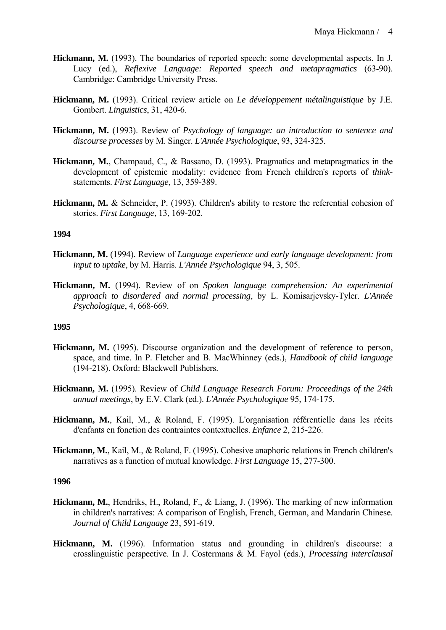- **Hickmann, M.** (1993). The boundaries of reported speech: some developmental aspects. In J. Lucy (ed.), *Reflexive Language: Reported speech and metapragmatics* (63-90). Cambridge: Cambridge University Press.
- **Hickmann, M.** (1993). Critical review article on *Le développement métalinguistique* by J.E. Gombert. *Linguistics*, 31, 420-6.
- **Hickmann, M.** (1993). Review of *Psychology of language: an introduction to sentence and discourse processes* by M. Singer. *L'Année Psychologique*, 93, 324-325.
- **Hickmann, M.**, Champaud, C., & Bassano, D. (1993). Pragmatics and metapragmatics in the development of epistemic modality: evidence from French children's reports of *think*statements. *First Language*, 13, 359-389.
- **Hickmann, M.** & Schneider, P. (1993). Children's ability to restore the referential cohesion of stories. *First Language*, 13, 169-202.

- **Hickmann, M.** (1994). Review of *Language experience and early language development: from input to uptake*, by M. Harris. *L'Année Psychologique* 94, 3, 505.
- **Hickmann, M.** (1994). Review of on *Spoken language comprehension: An experimental approach to disordered and normal processing*, by L. Komisarjevsky-Tyler. *L'Année Psychologique*, 4, 668-669.

#### **1995**

- **Hickmann, M.** (1995). Discourse organization and the development of reference to person, space, and time. In P. Fletcher and B. MacWhinney (eds.), *Handbook of child language* (194-218). Oxford: Blackwell Publishers.
- **Hickmann, M.** (1995). Review of *Child Language Research Forum: Proceedings of the 24th annual meetings*, by E.V. Clark (ed.). *L'Année Psychologique* 95, 174-175.
- **Hickmann, M.**, Kail, M., & Roland, F. (1995). L'organisation référentielle dans les récits d'enfants en fonction des contraintes contextuelles. *Enfance* 2, 215-226.
- **Hickmann, M.**, Kail, M., & Roland, F. (1995). Cohesive anaphoric relations in French children's narratives as a function of mutual knowledge. *First Language* 15, 277-300.

- **Hickmann, M.**, Hendriks, H., Roland, F., & Liang, J. (1996). The marking of new information in children's narratives: A comparison of English, French, German, and Mandarin Chinese. *Journal of Child Language* 23, 591-619.
- **Hickmann, M.** (1996). Information status and grounding in children's discourse: a crosslinguistic perspective. In J. Costermans & M. Fayol (eds.), *Processing interclausal*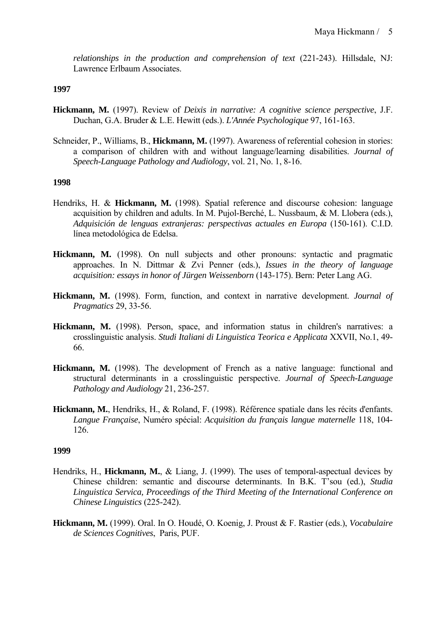*relationships in the production and comprehension of text* (221-243). Hillsdale, NJ: Lawrence Erlbaum Associates.

#### **1997**

- **Hickmann, M.** (1997). Review of *Deixis in narrative: A cognitive science perspective*, J.F. Duchan, G.A. Bruder & L.E. Hewitt (eds.). *L'Année Psychologique* 97, 161-163.
- Schneider, P., Williams, B., **Hickmann, M.** (1997). Awareness of referential cohesion in stories: a comparison of children with and without language/learning disabilities. *Journal of Speech-Language Pathology and Audiology*, vol. 21, No. 1, 8-16.

#### **1998**

- Hendriks, H. & **Hickmann, M.** (1998). Spatial reference and discourse cohesion: language acquisition by children and adults. In M. Pujol-Berché, L. Nussbaum, & M. Llobera (eds.), *Adquisición de lenguas extranjeras: perspectivas actuales en Europa* (150-161). C.I.D. línea metodológica de Edelsa.
- **Hickmann, M.** (1998). On null subjects and other pronouns: syntactic and pragmatic approaches. In N. Dittmar & Zvi Penner (eds.), *Issues in the theory of language acquisition: essays in honor of Jürgen Weissenborn* (143-175). Bern: Peter Lang AG.
- **Hickmann, M.** (1998). Form, function, and context in narrative development. *Journal of Pragmatics* 29, 33-56.
- **Hickmann, M.** (1998). Person, space, and information status in children's narratives: a crosslinguistic analysis. *Studi Italiani di Linguistica Teorica e Applicata* XXVII, No.1, 49- 66.
- **Hickmann, M.** (1998). The development of French as a native language: functional and structural determinants in a crosslinguistic perspective. *Journal of Speech-Language Pathology and Audiology* 21, 236-257.
- **Hickmann, M.**, Hendriks, H., & Roland, F. (1998). Référence spatiale dans les récits d'enfants. *Langue Française*, Numéro spécial: *Acquisition du français langue maternelle* 118, 104- 126.

- Hendriks, H., **Hickmann, M.**, & Liang, J. (1999). The uses of temporal-aspectual devices by Chinese children: semantic and discourse determinants. In B.K. T'sou (ed.), *Studia Linguistica Servica, Proceedings of the Third Meeting of the International Conference on Chinese Linguistics* (225-242).
- **Hickmann, M.** (1999). Oral. In O. Houdé, O. Koenig, J. Proust & F. Rastier (eds.), *Vocabulaire de Sciences Cognitives*, Paris, PUF.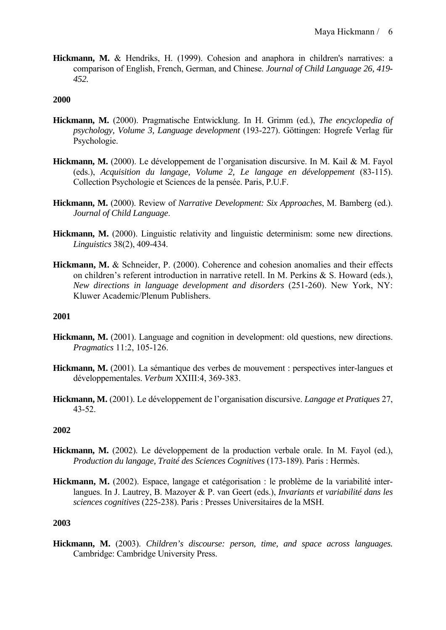**Hickmann, M.** & Hendriks, H. (1999). Cohesion and anaphora in children's narratives: a comparison of English, French, German, and Chinese. *Journal of Child Language 26, 419- 452.* 

## **2000**

- **Hickmann, M.** (2000). Pragmatische Entwicklung. In H. Grimm (ed.), *The encyclopedia of psychology, Volume 3, Language development* (193-227). Göttingen: Hogrefe Verlag für Psychologie.
- **Hickmann, M.** (2000). Le développement de l'organisation discursive. In M. Kail & M. Fayol (eds.), *Acquisition du langage, Volume 2, Le langage en développement* (83-115). Collection Psychologie et Sciences de la pensée. Paris, P.U.F.
- **Hickmann, M.** (2000). Review of *Narrative Development: Six Approaches*, M. Bamberg (ed.). *Journal of Child Language*.
- **Hickmann, M.** (2000). Linguistic relativity and linguistic determinism: some new directions. *Linguistics* 38(2), 409-434.
- **Hickmann, M.** & Schneider, P. (2000). Coherence and cohesion anomalies and their effects on children's referent introduction in narrative retell. In M. Perkins & S. Howard (eds.), *New directions in language development and disorders* (251-260). New York, NY: Kluwer Academic/Plenum Publishers.

#### **2001**

- **Hickmann, M.** (2001). Language and cognition in development: old questions, new directions. *Pragmatics* 11:2, 105-126.
- **Hickmann, M.** (2001). La sémantique des verbes de mouvement : perspectives inter-langues et développementales. *Verbum* XXIII:4, 369-383.
- **Hickmann, M.** (2001). Le développement de l'organisation discursive. *Langage et Pratiques* 27, 43-52.

#### **2002**

- **Hickmann, M.** (2002). Le développement de la production verbale orale. In M. Fayol (ed.), *Production du langage, Traité des Sciences Cognitives* (173-189). Paris : Hermès.
- **Hickmann, M.** (2002). Espace, langage et catégorisation : le problème de la variabilité interlangues. In J. Lautrey, B. Mazoyer & P. van Geert (eds.), *Invariants et variabilité dans les sciences cognitives* (225-238). Paris : Presses Universitaires de la MSH.

#### **2003**

**Hickmann, M.** (2003). *Children's discourse: person, time, and space across languages.*  Cambridge: Cambridge University Press.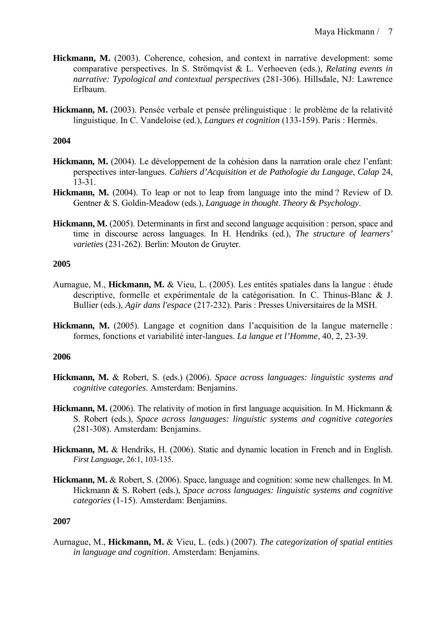- **Hickmann, M.** (2003). Coherence, cohesion, and context in narrative development: some comparative perspectives. In S. Strömqvist & L. Verhoeven (eds.), *Relating events in narrative: Typological and contextual perspectives* (281-306). Hillsdale, NJ: Lawrence Erlbaum.
- **Hickmann, M.** (2003). Pensée verbale et pensée prélinguistique : le problème de la relativité linguistique. In C. Vandeloise (ed.), *Langues et cognition* (133-159). Paris : Hermès.

- **Hickmann, M.** (2004). Le développement de la cohésion dans la narration orale chez l'enfant: perspectives inter-langues. *Cahiers d'Acquisition et de Pathologie du Langage*, *Calap* 24, 13-31.
- **Hickmann, M.** (2004). To leap or not to leap from language into the mind? Review of D. Gentner & S. Goldin-Meadow (eds.), *Language in thought*. *Theory & Psychology*.
- **Hickmann, M.** (2005). Determinants in first and second language acquisition : person, space and time in discourse across languages. In H. Hendriks (ed.), *The structure of learners' varieties* (231-262). Berlin: Mouton de Gruyter.

## **2005**

- Aurnague, M., **Hickmann, M.** & Vieu, L. (2005). Les entités spatiales dans la langue : étude descriptive, formelle et expérimentale de la catégorisation. In C. Thinus-Blanc & J. Bullier (eds.), *Agir dans l'espace* (217-232). Paris : Presses Universitaires de la MSH.
- **Hickmann, M.** (2005). Langage et cognition dans l'acquisition de la langue maternelle : formes, fonctions et variabilité inter-langues. *La langue et l'Homme*, 40, 2, 23-39.

## **2006**

- **Hickmann, M.** & Robert, S. (eds.) (2006). *Space across languages: linguistic systems and cognitive categories*. Amsterdam: Benjamins.
- **Hickmann, M.** (2006). The relativity of motion in first language acquisition. In M. Hickmann & S. Robert (eds.), *Space across languages: linguistic systems and cognitive categories* (281-308). Amsterdam: Benjamins.
- **Hickmann, M.** & Hendriks, H. (2006). Static and dynamic location in French and in English. *First Language*, 26:1, 103-135.
- **Hickmann, M.** & Robert, S. (2006). Space, language and cognition: some new challenges. In M. Hickmann & S. Robert (eds.), *Space across languages: linguistic systems and cognitive categories* (1-15). Amsterdam: Benjamins.

## **2007**

Aurnague, M., **Hickmann, M.** & Vieu, L. (eds.) (2007). *The categorization of spatial entities in language and cognition*. Amsterdam: Benjamins.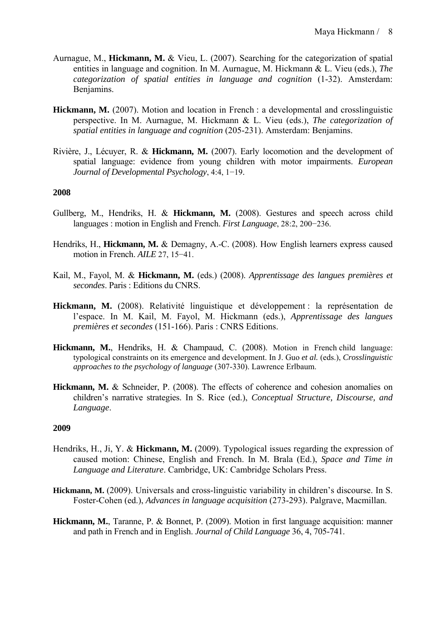- Aurnague, M., **Hickmann, M.** & Vieu, L. (2007). Searching for the categorization of spatial entities in language and cognition. In M. Aurnague, M. Hickmann & L. Vieu (eds.), *The categorization of spatial entities in language and cognition* (1-32). Amsterdam: Benjamins.
- **Hickmann, M.** (2007). Motion and location in French : a developmental and crosslinguistic perspective. In M. Aurnague, M. Hickmann & L. Vieu (eds.), *The categorization of spatial entities in language and cognition* (205-231). Amsterdam: Benjamins.
- Rivière, J., Lécuyer, R. & **Hickmann, M.** (2007). Early locomotion and the development of spatial language: evidence from young children with motor impairments. *European Journal of Developmental Psychology*, 4:4, 1−19.

- Gullberg, M., Hendriks, H. & **Hickmann, M.** (2008). Gestures and speech across child languages : motion in English and French. *First Language*, 28:2, 200−236.
- Hendriks, H., **Hickmann, M.** & Demagny, A.-C. (2008). How English learners express caused motion in French. *AILE* 27, 15−41.
- Kail, M., Fayol, M. & **Hickmann, M.** (eds.) (2008). *Apprentissage des langues premières et secondes*. Paris : Editions du CNRS.
- **Hickmann, M.** (2008). Relativité linguistique et développement : la représentation de l'espace. In M. Kail, M. Fayol, M. Hickmann (eds.), *Apprentissage des langues premières et secondes* (151-166). Paris : CNRS Editions.
- **Hickmann, M.**, Hendriks, H. & Champaud, C. (2008). Motion in French child language: typological constraints on its emergence and development. In J. Guo *et al.* (eds.), *Crosslinguistic approaches to the psychology of language* (307-330). Lawrence Erlbaum.
- **Hickmann, M.** & Schneider, P. (2008). The effects of coherence and cohesion anomalies on children's narrative strategies. In S. Rice (ed.), *Conceptual Structure, Discourse, and Language*.

- Hendriks, H., Ji, Y. & **Hickmann, M.** (2009). Typological issues regarding the expression of caused motion: Chinese, English and French. In M. Brala (Ed.), *Space and Time in Language and Literature*. Cambridge, UK: Cambridge Scholars Press.
- **Hickmann, M.** (2009). Universals and cross-linguistic variability in children's discourse. In S. Foster-Cohen (ed.), *Advances in language acquisition* (273-293). Palgrave, Macmillan.
- **Hickmann, M.**, Taranne, P. & Bonnet, P. (2009). Motion in first language acquisition: manner and path in French and in English. *Journal of Child Language* 36, 4, 705-741.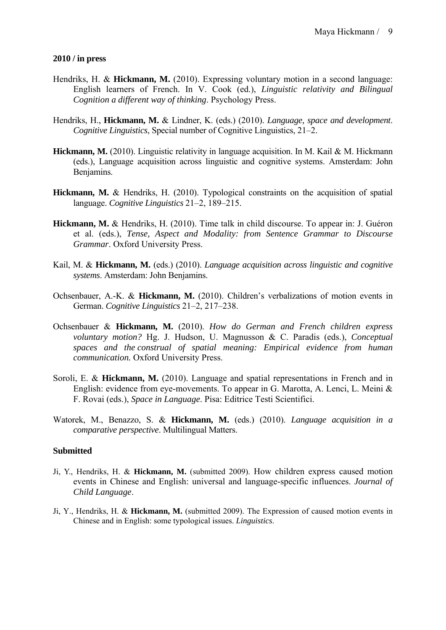## **2010 / in press**

- Hendriks, H. & **Hickmann, M.** (2010). Expressing voluntary motion in a second language: English learners of French. In V. Cook (ed.), *Linguistic relativity and Bilingual Cognition a different way of thinking*. Psychology Press.
- Hendriks, H., **Hickmann, M.** & Lindner, K. (eds.) (2010). *Language, space and development*. *Cognitive Linguistics*, Special number of Cognitive Linguistics, 21–2.
- **Hickmann, M.** (2010). Linguistic relativity in language acquisition. In M. Kail & M. Hickmann (eds.), Language acquisition across linguistic and cognitive systems. Amsterdam: John Benjamins.
- **Hickmann, M.** & Hendriks, H. (2010). Typological constraints on the acquisition of spatial language. *Cognitive Linguistics* 21–2, 189–215.
- **Hickmann, M.** & Hendriks, H. (2010). Time talk in child discourse. To appear in: J. Guéron et al. (eds.), *Tense, Aspect and Modality: from Sentence Grammar to Discourse Grammar*. Oxford University Press.
- Kail, M. & **Hickmann, M.** (eds.) (2010). *Language acquisition across linguistic and cognitive systems*. Amsterdam: John Benjamins.
- Ochsenbauer, A.-K. & **Hickmann, M.** (2010). Children's verbalizations of motion events in German. *Cognitive Linguistics* 21–2, 217–238.
- Ochsenbauer & **Hickmann, M.** (2010). *How do German and French children express voluntary motion?* Hg. J. Hudson, U. Magnusson & C. Paradis (eds.), *Conceptual spaces and the construal of spatial meaning: Empirical evidence from human communication.* Oxford University Press.
- Soroli, E. & **Hickmann, M.** (2010). Language and spatial representations in French and in English: evidence from eye-movements. To appear in G. Marotta, A. Lenci, L. Meini & F. Rovai (eds.), *Space in Language*. Pisa: Editrice Testi Scientifici.
- Watorek, M., Benazzo, S. & **Hickmann, M.** (eds.) (2010). *Language acquisition in a comparative perspective*. Multilingual Matters.

#### **Submitted**

- Ji, Y., Hendriks, H. & **Hickmann, M.** (submitted 2009). How children express caused motion events in Chinese and English: universal and language-specific influences. *Journal of Child Language*.
- Ji, Y., Hendriks, H. & **Hickmann, M.** (submitted 2009). The Expression of caused motion events in Chinese and in English: some typological issues. *Linguistics*.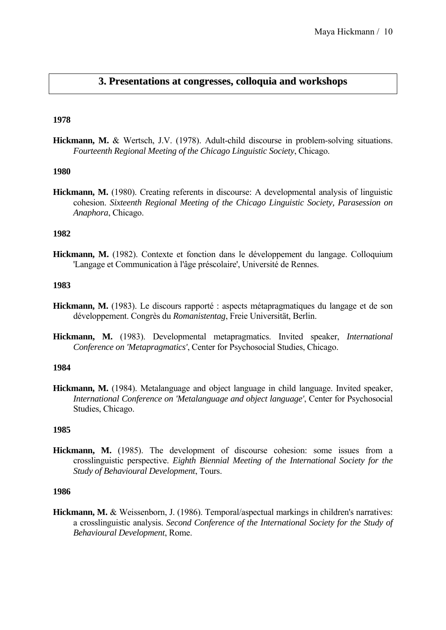# **3. Presentations at congresses, colloquia and workshops**

## **1978**

**Hickmann, M.** & Wertsch, J.V. (1978). Adult-child discourse in problem-solving situations. *Fourteenth Regional Meeting of the Chicago Linguistic Society*, Chicago.

# **1980**

**Hickmann, M.** (1980). Creating referents in discourse: A developmental analysis of linguistic cohesion. *Sixteenth Regional Meeting of the Chicago Linguistic Society, Parasession on Anaphora*, Chicago.

## **1982**

**Hickmann, M.** (1982). Contexte et fonction dans le développement du langage. Colloquium 'Langage et Communication à l'âge préscolaire', Université de Rennes.

#### **1983**

- **Hickmann, M.** (1983). Le discours rapporté : aspects métapragmatiques du langage et de son développement. Congrès du *Romanistentag*, Freie Universität, Berlin.
- **Hickmann, M.** (1983). Developmental metapragmatics. Invited speaker, *International Conference on 'Metapragmatics'*, Center for Psychosocial Studies, Chicago.

#### **1984**

**Hickmann, M.** (1984). Metalanguage and object language in child language. Invited speaker, *International Conference on 'Metalanguage and object language'*, Center for Psychosocial Studies, Chicago.

## **1985**

**Hickmann, M.** (1985). The development of discourse cohesion: some issues from a crosslinguistic perspective. *Eighth Biennial Meeting of the International Society for the Study of Behavioural Development*, Tours.

#### **1986**

**Hickmann, M.** & Weissenborn, J. (1986). Temporal/aspectual markings in children's narratives: a crosslinguistic analysis. *Second Conference of the International Society for the Study of Behavioural Development*, Rome.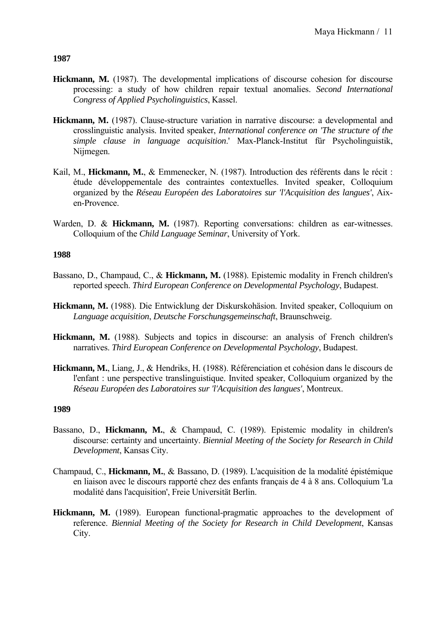- **Hickmann, M.** (1987). The developmental implications of discourse cohesion for discourse processing: a study of how children repair textual anomalies. *Second International Congress of Applied Psycholinguistics*, Kassel.
- **Hickmann, M.** (1987). Clause-structure variation in narrative discourse: a developmental and crosslinguistic analysis. Invited speaker, *International conference on 'The structure of the simple clause in language acquisition*.' Max-Planck-Institut für Psycholinguistik, Nijmegen.
- Kail, M., **Hickmann, M.**, & Emmenecker, N. (1987). Introduction des référents dans le récit : étude développementale des contraintes contextuelles. Invited speaker, Colloquium organized by the *Réseau Européen des Laboratoires sur 'l'Acquisition des langues'*, Aixen-Provence.
- Warden, D. & **Hickmann, M.** (1987). Reporting conversations: children as ear-witnesses. Colloquium of the *Child Language Seminar*, University of York.

# **1988**

- Bassano, D., Champaud, C., & **Hickmann, M.** (1988). Epistemic modality in French children's reported speech. *Third European Conference on Developmental Psychology*, Budapest.
- **Hickmann, M.** (1988). Die Entwicklung der Diskurskohäsion. Invited speaker, Colloquium on *Language acquisition*, *Deutsche Forschungsgemeinschaft*, Braunschweig.
- **Hickmann, M.** (1988). Subjects and topics in discourse: an analysis of French children's narratives. *Third European Conference on Developmental Psychology*, Budapest.
- **Hickmann, M.**, Liang, J., & Hendriks, H. (1988). Référenciation et cohésion dans le discours de l'enfant : une perspective translinguistique. Invited speaker, Colloquium organized by the *Réseau Européen des Laboratoires sur 'l'Acquisition des langues'*, Montreux.

- Bassano, D., **Hickmann, M.**, & Champaud, C. (1989). Epistemic modality in children's discourse: certainty and uncertainty. *Biennial Meeting of the Society for Research in Child Development*, Kansas City.
- Champaud, C., **Hickmann, M.**, & Bassano, D. (1989). L'acquisition de la modalité épistémique en liaison avec le discours rapporté chez des enfants français de 4 à 8 ans. Colloquium 'La modalité dans l'acquisition', Freie Universität Berlin.
- **Hickmann, M.** (1989). European functional-pragmatic approaches to the development of reference. *Biennial Meeting of the Society for Research in Child Development*, Kansas City.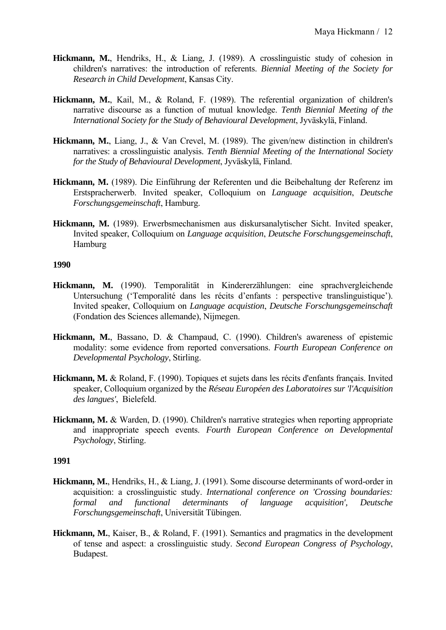- **Hickmann, M.**, Hendriks, H., & Liang, J. (1989). A crosslinguistic study of cohesion in children's narratives: the introduction of referents. *Biennial Meeting of the Society for Research in Child Development*, Kansas City.
- **Hickmann, M.**, Kail, M., & Roland, F. (1989). The referential organization of children's narrative discourse as a function of mutual knowledge. *Tenth Biennial Meeting of the International Society for the Study of Behavioural Development*, Jyväskylä, Finland.
- **Hickmann, M.**, Liang, J., & Van Crevel, M. (1989). The given/new distinction in children's narratives: a crosslinguistic analysis. *Tenth Biennial Meeting of the International Society for the Study of Behavioural Development*, Jyväskylä, Finland.
- **Hickmann, M.** (1989). Die Einführung der Referenten und die Beibehaltung der Referenz im Erstspracherwerb. Invited speaker, Colloquium on *Language acquisition*, *Deutsche Forschungsgemeinschaft*, Hamburg.
- **Hickmann, M.** (1989). Erwerbsmechanismen aus diskursanalytischer Sicht. Invited speaker, Invited speaker, Colloquium on *Language acquisition*, *Deutsche Forschungsgemeinschaft*, Hamburg

- **Hickmann, M.** (1990). Temporalität in Kindererzählungen: eine sprachvergleichende Untersuchung ('Temporalité dans les récits d'enfants : perspective translinguistique'). Invited speaker, Colloquium on *Language acquistion*, *Deutsche Forschungsgemeinschaft* (Fondation des Sciences allemande), Nijmegen.
- **Hickmann, M.**, Bassano, D. & Champaud, C. (1990). Children's awareness of epistemic modality: some evidence from reported conversations. *Fourth European Conference on Developmental Psychology*, Stirling.
- **Hickmann, M.** & Roland, F. (1990). Topiques et sujets dans les récits d'enfants français. Invited speaker, Colloquium organized by the *Réseau Européen des Laboratoires sur 'l'Acquisition des langues'*, Bielefeld.
- **Hickmann, M.** & Warden, D. (1990). Children's narrative strategies when reporting appropriate and inappropriate speech events. *Fourth European Conference on Developmental Psychology*, Stirling.

- **Hickmann, M.**, Hendriks, H., & Liang, J. (1991). Some discourse determinants of word-order in acquisition: a crosslinguistic study. *International conference on 'Crossing boundaries: formal and functional determinants of language acquisition', Deutsche Forschungsgemeinschaft*, Universität Tübingen.
- **Hickmann, M.**, Kaiser, B., & Roland, F. (1991). Semantics and pragmatics in the development of tense and aspect: a crosslinguistic study. *Second European Congress of Psychology*, Budapest.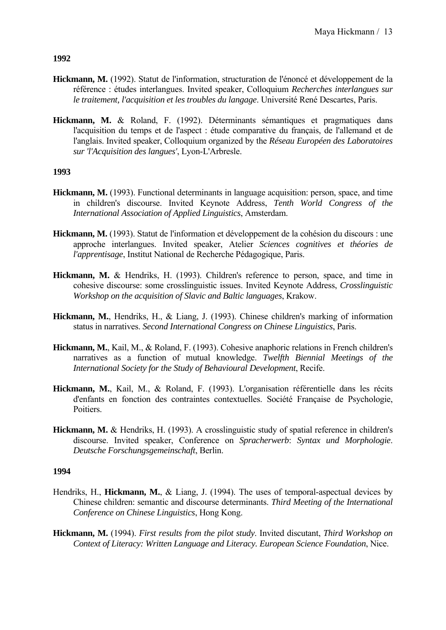- **Hickmann, M.** (1992). Statut de l'information, structuration de l'énoncé et développement de la référence : études interlangues. Invited speaker, Colloquium *Recherches interlangues sur le traitement, l'acquisition et les troubles du langage*. Université René Descartes, Paris.
- **Hickmann, M.** & Roland, F. (1992). Déterminants sémantiques et pragmatiques dans l'acquisition du temps et de l'aspect : étude comparative du français, de l'allemand et de l'anglais. Invited speaker, Colloquium organized by the *Réseau Européen des Laboratoires sur 'l'Acquisition des langues'*, Lyon-L'Arbresle.

# **1993**

- **Hickmann, M.** (1993). Functional determinants in language acquisition: person, space, and time in children's discourse. Invited Keynote Address, *Tenth World Congress of the International Association of Applied Linguistics*, Amsterdam.
- **Hickmann, M.** (1993). Statut de l'information et développement de la cohésion du discours : une approche interlangues. Invited speaker, Atelier *Sciences cognitives et théories de l'apprentisage*, Institut National de Recherche Pédagogique, Paris.
- **Hickmann, M.** & Hendriks, H. (1993). Children's reference to person, space, and time in cohesive discourse: some crosslinguistic issues. Invited Keynote Address, *Crosslinguistic Workshop on the acquisition of Slavic and Baltic languages*, Krakow.
- **Hickmann, M.**, Hendriks, H., & Liang, J. (1993). Chinese children's marking of information status in narratives. *Second International Congress on Chinese Linguistics*, Paris.
- **Hickmann, M.**, Kail, M., & Roland, F. (1993). Cohesive anaphoric relations in French children's narratives as a function of mutual knowledge. *Twelfth Biennial Meetings of the International Society for the Study of Behavioural Development*, Recife.
- **Hickmann, M.**, Kail, M., & Roland, F. (1993). L'organisation référentielle dans les récits d'enfants en fonction des contraintes contextuelles. Société Française de Psychologie, Poitiers.
- **Hickmann, M.** & Hendriks, H. (1993). A crosslinguistic study of spatial reference in children's discourse. Invited speaker, Conference on *Spracherwerb*: *Syntax und Morphologie*. *Deutsche Forschungsgemeinschaft*, Berlin.

- Hendriks, H., **Hickmann, M.**, & Liang, J. (1994). The uses of temporal-aspectual devices by Chinese children: semantic and discourse determinants. *Third Meeting of the International Conference on Chinese Linguistics*, Hong Kong.
- **Hickmann, M.** (1994). *First results from the pilot study*. Invited discutant, *Third Workshop on Context of Literacy: Written Language and Literacy. European Science Foundation*, Nice.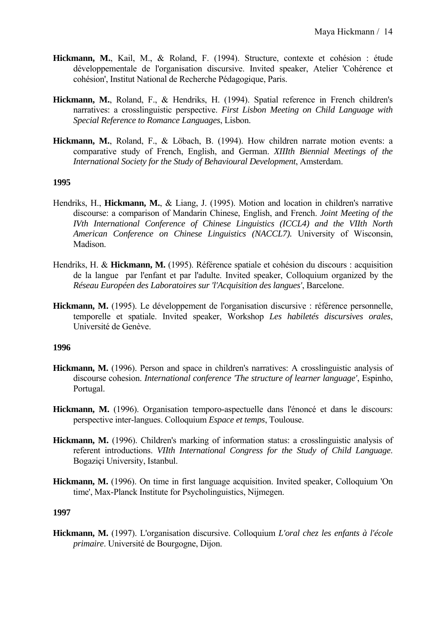- **Hickmann, M.**, Kail, M., & Roland, F. (1994). Structure, contexte et cohésion : étude développementale de l'organisation discursive. Invited speaker, Atelier 'Cohérence et cohésion', Institut National de Recherche Pédagogique, Paris.
- **Hickmann, M.**, Roland, F., & Hendriks, H. (1994). Spatial reference in French children's narratives: a crosslinguistic perspective. *First Lisbon Meeting on Child Language with Special Reference to Romance Languages*, Lisbon.
- **Hickmann, M.**, Roland, F., & Löbach, B. (1994). How children narrate motion events: a comparative study of French, English, and German. *XIIIth Biennial Meetings of the International Society for the Study of Behavioural Development*, Amsterdam.

- Hendriks, H., **Hickmann, M.**, & Liang, J. (1995). Motion and location in children's narrative discourse: a comparison of Mandarin Chinese, English, and French. *Joint Meeting of the IVth International Conference of Chinese Linguistics (ICCL4) and the VIIth North American Conference on Chinese Linguistics (NACCL7).* University of Wisconsin, Madison.
- Hendriks, H. & **Hickmann, M.** (1995). Référence spatiale et cohésion du discours : acquisition de la langue par l'enfant et par l'adulte. Invited speaker, Colloquium organized by the *Réseau Européen des Laboratoires sur 'l'Acquisition des langues'*, Barcelone.
- **Hickmann, M.** (1995). Le développement de l'organisation discursive : référence personnelle, temporelle et spatiale. Invited speaker, Workshop *Les habiletés discursives orales*, Université de Genève.

#### **1996**

- **Hickmann, M.** (1996). Person and space in children's narratives: A crosslinguistic analysis of discourse cohesion. *International conference 'The structure of learner language'*, Espinho, Portugal.
- **Hickmann, M.** (1996). Organisation temporo-aspectuelle dans l'énoncé et dans le discours: perspective inter-langues. Colloquium *Espace et temps*, Toulouse.
- **Hickmann, M.** (1996). Children's marking of information status: a crosslinguistic analysis of referent introductions. *VIIth International Congress for the Study of Child Language*. Bogaziçi University, Istanbul.
- **Hickmann, M.** (1996). On time in first language acquisition. Invited speaker, Colloquium 'On time', Max-Planck Institute for Psycholinguistics, Nijmegen.

#### **1997**

**Hickmann, M.** (1997). L'organisation discursive. Colloquium *L'oral chez les enfants à l'école primaire*. Université de Bourgogne, Dijon.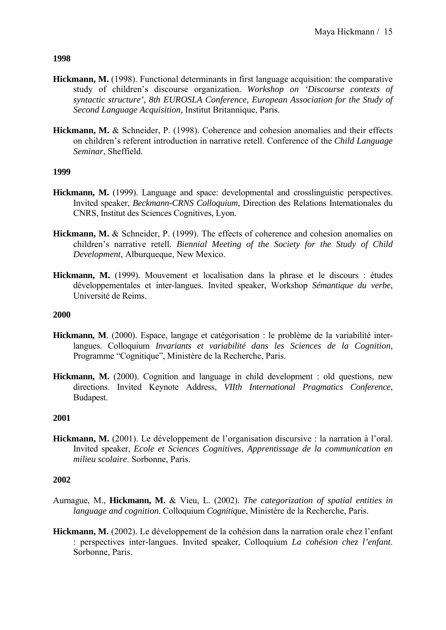- **Hickmann, M.** (1998). Functional determinants in first language acquisition: the comparative study of children's discourse organization. *Workshop on 'Discourse contexts of syntactic structure', 8th EUROSLA Conference, European Association for the Study of Second Language Acquisition,* Institut Britannique, Paris.
- **Hickmann, M.** & Schneider, P. (1998). Coherence and cohesion anomalies and their effects on children's referent introduction in narrative retell. Conference of the *Child Language Seminar*, Sheffield.

# **1999**

- **Hickmann, M.** (1999). Language and space: developmental and crosslinguistic perspectives. Invited speaker, *Beckmann-CRNS Colloquium*, Direction des Relations Internationales du CNRS, Institut des Sciences Cognitives, Lyon.
- **Hickmann, M.** & Schneider, P. (1999). The effects of coherence and cohesion anomalies on children's narrative retell. *Biennial Meeting of the Society for the Study of Child Development*, Alburqueque, New Mexico.
- **Hickmann, M.** (1999). Mouvement et localisation dans la phrase et le discours : études développementales et inter-langues. Invited speaker, Workshop *Sémantique du verbe*, Université de Reims.

## **2000**

- **Hickmann, M**. (2000). Espace, langage et catégorisation : le problème de la variabilité interlangues. Colloquium *Invariants et variabilité dans les Sciences de la Cognition,*  Programme "Cognitique", Ministère de la Recherche, Paris.
- **Hickmann, M.** (2000). Cognition and language in child development : old questions, new directions. Invited Keynote Address, *VIIth International Pragmatics Conference*, Budapest.

## **2001**

**Hickmann, M.** (2001). Le développement de l'organisation discursive : la narration à l'oral. Invited speaker, *Ecole et Sciences Cognitives*, *Apprentissage de la communication en milieu scolaire*. Sorbonne, Paris.

- Aurnague, M., **Hickmann, M.** & Vieu, L. (2002). *The categorization of spatial entities in language and cognition*. Colloquium *Cognitique*, Ministère de la Recherche, Paris.
- **Hickmann, M.** (2002). Le développement de la cohésion dans la narration orale chez l'enfant : perspectives inter-langues. Invited speaker, Colloquium *La cohésion chez l'enfant*. Sorbonne, Paris.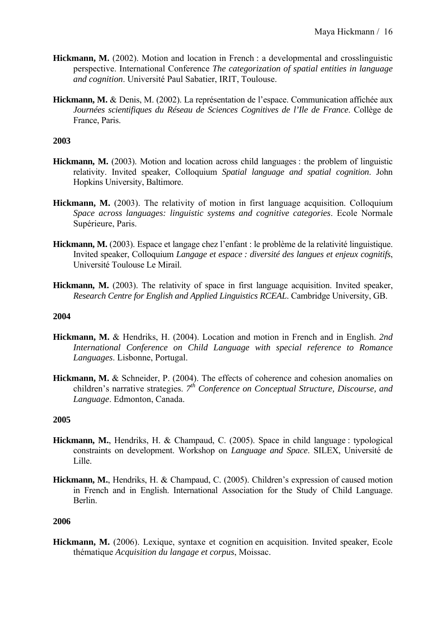- Hickmann, M. (2002). Motion and location in French : a developmental and crosslinguistic perspective. International Conference *The categorization of spatial entities in language and cognition*. Université Paul Sabatier, IRIT, Toulouse.
- **Hickmann, M.** & Denis, M. (2002). La représentation de l'espace. Communication affichée aux *Journées scientifiques du Réseau de Sciences Cognitives de l'Ile de France*. Collège de France, Paris.

- **Hickmann, M.** (2003). Motion and location across child languages : the problem of linguistic relativity. Invited speaker, Colloquium *Spatial language and spatial cognition*. John Hopkins University, Baltimore.
- **Hickmann, M.** (2003). The relativity of motion in first language acquisition. Colloquium *Space across languages: linguistic systems and cognitive categories*. Ecole Normale Supérieure, Paris.
- **Hickmann, M.** (2003). Espace et langage chez l'enfant : le problème de la relativité linguistique. Invited speaker, Colloquium *Langage et espace : diversité des langues et enjeux cognitifs*, Université Toulouse Le Mirail.
- **Hickmann, M.** (2003). The relativity of space in first language acquisition. Invited speaker, *Research Centre for English and Applied Linguistics RCEAL*. Cambridge University, GB.

## **2004**

- **Hickmann, M.** & Hendriks, H. (2004). Location and motion in French and in English. *2nd International Conference on Child Language with special reference to Romance Languages*. Lisbonne, Portugal.
- **Hickmann, M.** & Schneider, P. (2004). The effects of coherence and cohesion anomalies on children's narrative strategies. *7th Conference on Conceptual Structure, Discourse, and Language*. Edmonton, Canada.

## **2005**

- **Hickmann, M.**, Hendriks, H. & Champaud, C. (2005). Space in child language : typological constraints on development. Workshop on *Language and Space*. SILEX, Université de Lille.
- **Hickmann, M.**, Hendriks, H. & Champaud, C. (2005). Children's expression of caused motion in French and in English. International Association for the Study of Child Language. Berlin.

#### **2006**

**Hickmann, M.** (2006). Lexique, syntaxe et cognition en acquisition. Invited speaker, Ecole thématique *Acquisition du langage et corpus*, Moissac.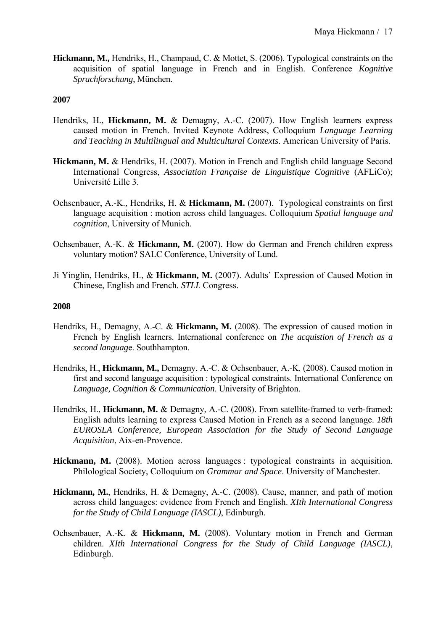**Hickmann, M.,** Hendriks, H., Champaud, C. & Mottet, S. (2006). Typological constraints on the acquisition of spatial language in French and in English. Conference *Kognitive Sprachforschung*, München.

## **2007**

- Hendriks, H., **Hickmann, M.** & Demagny, A.-C. (2007). How English learners express caused motion in French. Invited Keynote Address, Colloquium *Language Learning and Teaching in Multilingual and Multicultural Contexts*. American University of Paris.
- **Hickmann, M.** & Hendriks, H. (2007). Motion in French and English child language Second International Congress, *Association Française de Linguistique Cognitive* (AFLiCo); Université Lille 3.
- Ochsenbauer, A.-K., Hendriks, H. & **Hickmann, M.** (2007). Typological constraints on first language acquisition : motion across child languages. Colloquium *Spatial language and cognition*, University of Munich.
- Ochsenbauer, A.-K. & **Hickmann, M.** (2007). How do German and French children express voluntary motion? SALC Conference, University of Lund.
- Ji Yinglin, Hendriks, H., & **Hickmann, M.** (2007). Adults' Expression of Caused Motion in Chinese, English and French. *STLL* Congress.

- Hendriks, H., Demagny, A.-C. & **Hickmann, M.** (2008). The expression of caused motion in French by English learners. International conference on *The acquistion of French as a second languag*e. Southhampton.
- Hendriks, H., **Hickmann, M.,** Demagny, A.-C. & Ochsenbauer, A.-K. (2008). Caused motion in first and second language acquisition : typological constraints. International Conference on *Language, Cognition & Communication*. University of Brighton.
- Hendriks, H., **Hickmann, M. &** Demagny, A.-C. (2008). From satellite-framed to verb-framed: English adults learning to express Caused Motion in French as a second language. *18th EUROSLA Conference, European Association for the Study of Second Language Acquisition*, Aix-en-Provence.
- **Hickmann, M.** (2008). Motion across languages : typological constraints in acquisition. Philological Society, Colloquium on *Grammar and Space*. University of Manchester.
- **Hickmann, M.**, Hendriks, H. & Demagny, A.-C. (2008). Cause, manner, and path of motion across child languages: evidence from French and English. *XIth International Congress for the Study of Child Language (IASCL)*, Edinburgh.
- Ochsenbauer, A.-K. & **Hickmann, M.** (2008). Voluntary motion in French and German children. *XIth International Congress for the Study of Child Language (IASCL)*, Edinburgh.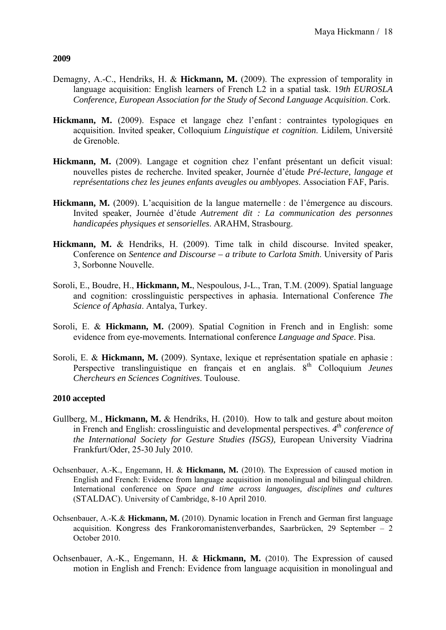- Demagny, A.-C., Hendriks, H. & **Hickmann, M.** (2009). The expression of temporality in language acquisition: English learners of French L2 in a spatial task. 1*9th EUROSLA Conference, European Association for the Study of Second Language Acquisition*. Cork.
- **Hickmann, M.** (2009). Espace et langage chez l'enfant : contraintes typologiques en acquisition. Invited speaker, Colloquium *Linguistique et cognition*. Lidilem, Université de Grenoble.
- **Hickmann, M.** (2009). Langage et cognition chez l'enfant présentant un deficit visual: nouvelles pistes de recherche. Invited speaker, Journée d'étude *Pré-lecture, langage et représentations chez les jeunes enfants aveugles ou amblyopes*. Association FAF, Paris.
- **Hickmann, M.** (2009). L'acquisition de la langue maternelle : de l'émergence au discours. Invited speaker, Journée d'étude *Autrement dit : La communication des personnes handicapées physiques et sensorielles*. ARAHM, Strasbourg.
- **Hickmann, M.** & Hendriks, H. (2009). Time talk in child discourse. Invited speaker, Conference on *Sentence and Discourse – a tribute to Carlota Smith*. University of Paris 3, Sorbonne Nouvelle.
- Soroli, E., Boudre, H., **Hickmann, M.**, Nespoulous, J-L., Tran, T.M. (2009). Spatial language and cognition: crosslinguistic perspectives in aphasia. International Conference *The Science of Aphasia*. Antalya, Turkey.
- Soroli, E. & **Hickmann, M.** (2009). Spatial Cognition in French and in English: some evidence from eye-movements*.* International conference *Language and Space*. Pisa.
- Soroli, E. & **Hickmann, M.** (2009). Syntaxe, lexique et représentation spatiale en aphasie : Perspective translinguistique en français et en anglais. 8<sup>th</sup> Colloquium *Jeunes Chercheurs en Sciences Cognitives*. Toulouse.

## **2010 accepted**

- Gullberg, M., **Hickmann, M.** & Hendriks, H. (2010). How to talk and gesture about moiton in French and English: crosslinguistic and developmental perspectives. *4th conference of the International Society for Gesture Studies (ISGS),* European University Viadrina Frankfurt/Oder, 25-30 July 2010.
- Ochsenbauer, A.-K., Engemann, H. & **Hickmann, M.** (2010). The Expression of caused motion in English and French: Evidence from language acquisition in monolingual and bilingual children. International conference on *Space and time across languages, disciplines and cultures* (STALDAC). University of Cambridge, 8-10 April 2010.
- Ochsenbauer, A.-K.& **Hickmann, M.** (2010). Dynamic location in French and German first language acquisition. Kongress des Frankoromanistenverbandes, Saarbrücken, 29 September – 2 October 2010.
- Ochsenbauer, A.-K., Engemann, H. & **Hickmann, M.** (2010). The Expression of caused motion in English and French: Evidence from language acquisition in monolingual and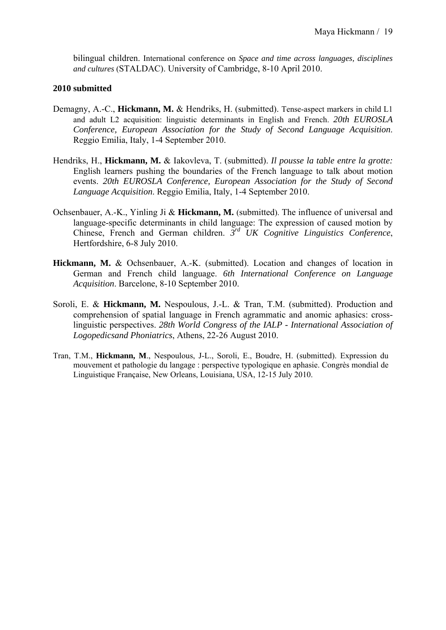bilingual children. International conference on *Space and time across languages, disciplines and cultures* (STALDAC). University of Cambridge, 8-10 April 2010.

#### **2010 submitted**

- Demagny, A.-C., **Hickmann, M.** & Hendriks, H. (submitted). Tense-aspect markers in child L1 and adult L2 acquisition: linguistic determinants in English and French. *20th EUROSLA Conference, European Association for the Study of Second Language Acquisition*. Reggio Emilia, Italy, 1-4 September 2010.
- Hendriks, H., **Hickmann, M.** & Iakovleva, T. (submitted). *Il pousse la table entre la grotte:* English learners pushing the boundaries of the French language to talk about motion events. *20th EUROSLA Conference, European Association for the Study of Second Language Acquisition*. Reggio Emilia, Italy, 1-4 September 2010.
- Ochsenbauer, A.-K., Yinling Ji & **Hickmann, M.** (submitted). The influence of universal and language-specific determinants in child language: The expression of caused motion by Chinese, French and German children. *3rd UK Cognitive Linguistics Conference*, Hertfordshire, 6-8 July 2010.
- **Hickmann, M.** & Ochsenbauer, A.-K. (submitted). Location and changes of location in German and French child language. *6th International Conference on Language Acquisition*. Barcelone, 8-10 September 2010.
- Soroli, E. & **Hickmann, M.** Nespoulous, J.-L. & Tran, T.M. (submitted). Production and comprehension of spatial language in French agrammatic and anomic aphasics: crosslinguistic perspectives. *28th World Congress of the IALP - International Association of Logopedicsand Phoniatrics*, Athens, 22-26 August 2010.
- Tran, T.M., **Hickmann, M**., Nespoulous, J-L., Soroli, E., Boudre, H. (submitted). Expression du mouvement et pathologie du langage : perspective typologique en aphasie. Congrès mondial de Linguistique Française, New Orleans, Louisiana, USA, 12-15 July 2010.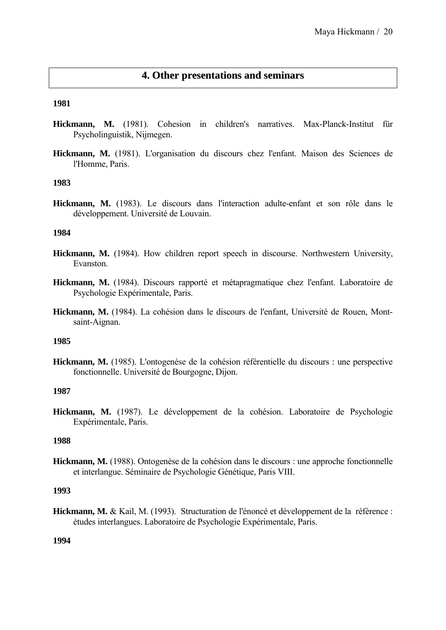# **4. Other presentations and seminars**

#### **1981**

- **Hickmann, M.** (1981). Cohesion in children's narratives. Max-Planck-Institut für Psycholinguistik, Nijmegen.
- **Hickmann, M.** (1981). L'organisation du discours chez l'enfant. Maison des Sciences de l'Homme, Paris.

#### **1983**

**Hickmann, M.** (1983). Le discours dans l'interaction adulte-enfant et son rôle dans le développement. Université de Louvain.

#### **1984**

- **Hickmann, M.** (1984). How children report speech in discourse. Northwestern University, Evanston.
- **Hickmann, M.** (1984). Discours rapporté et métapragmatique chez l'enfant. Laboratoire de Psychologie Expérimentale, Paris.
- **Hickmann, M.** (1984). La cohésion dans le discours de l'enfant, Université de Rouen, Montsaint-Aignan.

#### **1985**

**Hickmann, M.** (1985). L'ontogenèse de la cohésion référentielle du discours : une perspective fonctionnelle. Université de Bourgogne, Dijon.

#### **1987**

**Hickmann, M.** (1987). Le développement de la cohésion. Laboratoire de Psychologie Expérimentale, Paris.

#### **1988**

**Hickmann, M.** (1988). Ontogenèse de la cohésion dans le discours : une approche fonctionnelle et interlangue. Séminaire de Psychologie Génétique, Paris VIII.

## **1993**

**Hickmann, M.** & Kail, M. (1993). Structuration de l'énoncé et développement de la référence : études interlangues. Laboratoire de Psychologie Expérimentale, Paris.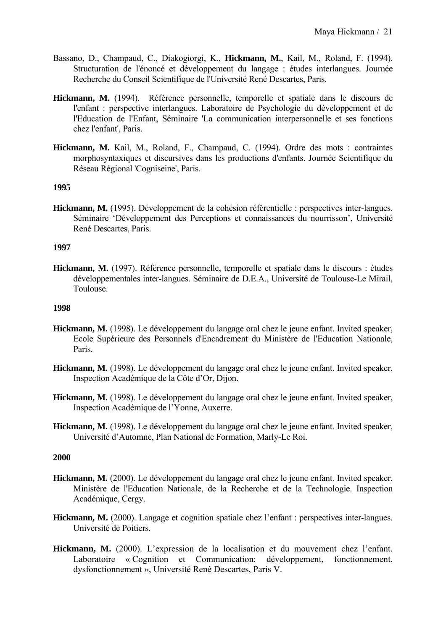- Bassano, D., Champaud, C., Diakogiorgi, K., **Hickmann, M.**, Kail, M., Roland, F. (1994). Structuration de l'énoncé et développement du langage : études interlangues. Journée Recherche du Conseil Scientifique de l'Université René Descartes, Paris.
- **Hickmann, M.** (1994). Référence personnelle, temporelle et spatiale dans le discours de l'enfant : perspective interlangues. Laboratoire de Psychologie du développement et de l'Education de l'Enfant, Séminaire 'La communication interpersonnelle et ses fonctions chez l'enfant', Paris.
- **Hickmann, M.** Kail, M., Roland, F., Champaud, C. (1994). Ordre des mots : contraintes morphosyntaxiques et discursives dans les productions d'enfants. Journée Scientifique du Réseau Régional 'Cogniseine', Paris.

**Hickmann, M.** (1995). Développement de la cohésion référentielle : perspectives inter-langues. Séminaire 'Développement des Perceptions et connaissances du nourrisson', Université René Descartes, Paris.

## **1997**

**Hickmann, M.** (1997). Référence personnelle, temporelle et spatiale dans le discours : études développementales inter-langues. Séminaire de D.E.A., Université de Toulouse-Le Mirail, Toulouse.

# **1998**

- **Hickmann, M.** (1998). Le développement du langage oral chez le jeune enfant. Invited speaker, Ecole Supérieure des Personnels d'Encadrement du Ministère de l'Education Nationale, Paris.
- **Hickmann, M.** (1998). Le développement du langage oral chez le jeune enfant. Invited speaker, Inspection Académique de la Côte d'Or, Dijon.
- **Hickmann, M.** (1998). Le développement du langage oral chez le jeune enfant. Invited speaker, Inspection Académique de l'Yonne, Auxerre.
- **Hickmann, M.** (1998). Le développement du langage oral chez le jeune enfant. Invited speaker, Université d'Automne, Plan National de Formation, Marly-Le Roi.

- **Hickmann, M.** (2000). Le développement du langage oral chez le jeune enfant. Invited speaker, Ministère de l'Education Nationale, de la Recherche et de la Technologie. Inspection Académique, Cergy.
- **Hickmann, M.** (2000). Langage et cognition spatiale chez l'enfant : perspectives inter-langues. Université de Poitiers.
- **Hickmann, M.** (2000). L'expression de la localisation et du mouvement chez l'enfant. Laboratoire « Cognition et Communication: développement, fonctionnement, dysfonctionnement », Université René Descartes, Paris V.